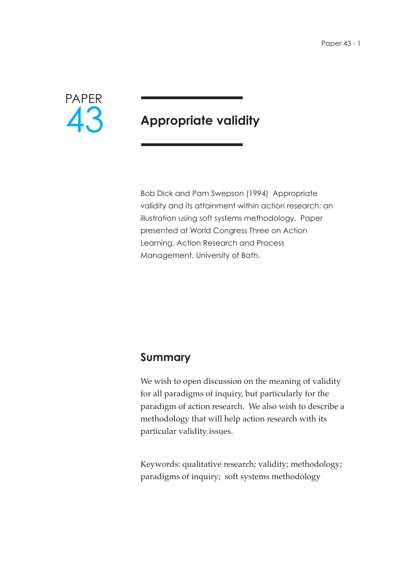

# **Appropriate validity**

Bob Dick and Pam Swepson (1994) Appropriate validity and its attainment within action research: an illustration using soft systems methodology. Paper presented at World Congress Three on Action Learning, Action Research and Process Management, University of Bath.

### **Summary**

We wish to open discussion on the meaning of validity for all paradigms of inquiry, but particularly for the paradigm of action research. We also wish to describe a methodology that will help action research with its particular validity issues.

Keywords: qualitative research; validity; methodology; paradigms of inquiry; soft systems methodology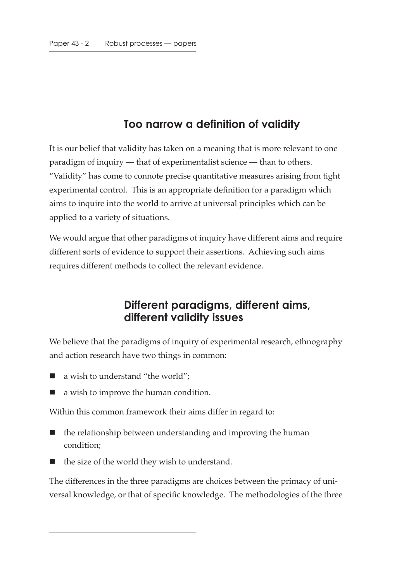# **Too narrow a definition of validity**

It is our belief that validity has taken on a meaning that is more relevant to one paradigm of inquiry — that of experimentalist science — than to others. "Validity" has come to connote precise quantitative measures arising from tight experimental control. This is an appropriate definition for a paradigm which aims to inquire into the world to arrive at universal principles which can be applied to a variety of situations.

We would argue that other paradigms of inquiry have different aims and require different sorts of evidence to support their assertions. Achieving such aims requires different methods to collect the relevant evidence.

### **Different paradigms, different aims, different validity issues**

We believe that the paradigms of inquiry of experimental research, ethnography and action research have two things in common:

- a wish to understand "the world";
- a wish to improve the human condition.

Within this common framework their aims differ in regard to:

- $\blacksquare$  the relationship between understanding and improving the human condition;
- the size of the world they wish to understand.

The differences in the three paradigms are choices between the primacy of universal knowledge, or that of specific knowledge. The methodologies of the three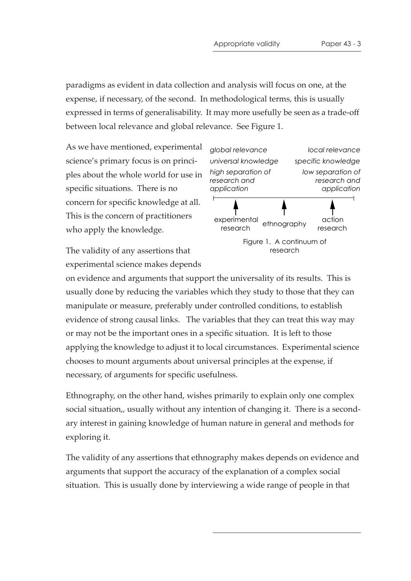paradigms as evident in data collection and analysis will focus on one, at the expense, if necessary, of the second. In methodological terms, this is usually expressed in terms of generalisability. It may more usefully be seen as a trade-off between local relevance and global relevance. See Figure 1.

As we have mentioned, experimental science's primary focus is on principles about the whole world for use in specific situations. There is no concern for specific knowledge at all. This is the concern of practitioners who apply the knowledge.

The validity of any assertions that experimental science makes depends



on evidence and arguments that support the universality of its results. This is usually done by reducing the variables which they study to those that they can manipulate or measure, preferably under controlled conditions, to establish evidence of strong causal links. The variables that they can treat this way may or may not be the important ones in a specific situation. It is left to those applying the knowledge to adjust it to local circumstances. Experimental science chooses to mount arguments about universal principles at the expense, if necessary, of arguments for specific usefulness.

Ethnography, on the other hand, wishes primarily to explain only one complex social situation,, usually without any intention of changing it. There is a secondary interest in gaining knowledge of human nature in general and methods for exploring it.

The validity of any assertions that ethnography makes depends on evidence and arguments that support the accuracy of the explanation of a complex social situation. This is usually done by interviewing a wide range of people in that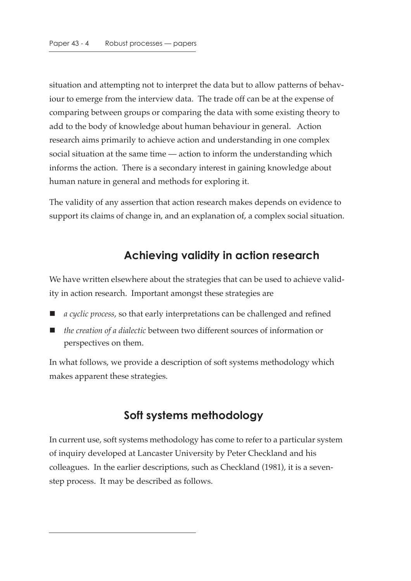situation and attempting not to interpret the data but to allow patterns of behaviour to emerge from the interview data. The trade off can be at the expense of comparing between groups or comparing the data with some existing theory to add to the body of knowledge about human behaviour in general. Action research aims primarily to achieve action and understanding in one complex social situation at the same time — action to inform the understanding which informs the action. There is a secondary interest in gaining knowledge about human nature in general and methods for exploring it.

The validity of any assertion that action research makes depends on evidence to support its claims of change in, and an explanation of, a complex social situation.

### **Achieving validity in action research**

We have written elsewhere about the strategies that can be used to achieve validity in action research. Important amongst these strategies are

- *a cyclic process*, so that early interpretations can be challenged and refined
- *the creation of a dialectic* between two different sources of information or perspectives on them.

In what follows, we provide a description of soft systems methodology which makes apparent these strategies.

## **Soft systems methodology**

In current use, soft systems methodology has come to refer to a particular system of inquiry developed at Lancaster University by Peter Checkland and his colleagues. In the earlier descriptions, such as Checkland (1981), it is a sevenstep process. It may be described as follows.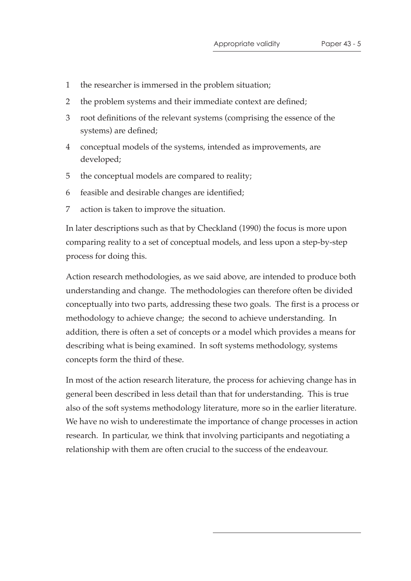- 1 the researcher is immersed in the problem situation;
- 2 the problem systems and their immediate context are defined;
- 3 root definitions of the relevant systems (comprising the essence of the systems) are defined;
- 4 conceptual models of the systems, intended as improvements, are developed;
- 5 the conceptual models are compared to reality;
- 6 feasible and desirable changes are identified;
- 7 action is taken to improve the situation.

In later descriptions such as that by Checkland (1990) the focus is more upon comparing reality to a set of conceptual models, and less upon a step-by-step process for doing this.

Action research methodologies, as we said above, are intended to produce both understanding and change. The methodologies can therefore often be divided conceptually into two parts, addressing these two goals. The first is a process or methodology to achieve change; the second to achieve understanding. In addition, there is often a set of concepts or a model which provides a means for describing what is being examined. In soft systems methodology, systems concepts form the third of these.

In most of the action research literature, the process for achieving change has in general been described in less detail than that for understanding. This is true also of the soft systems methodology literature, more so in the earlier literature. We have no wish to underestimate the importance of change processes in action research. In particular, we think that involving participants and negotiating a relationship with them are often crucial to the success of the endeavour.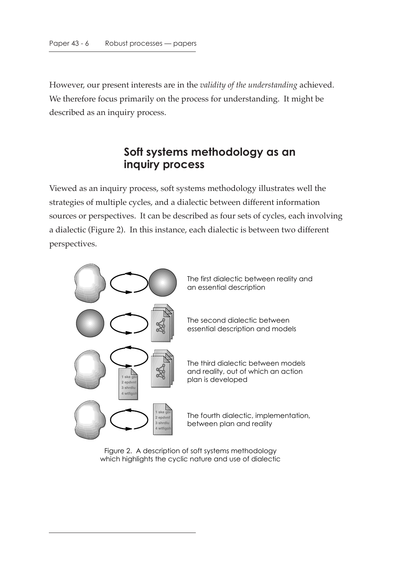However, our present interests are in the *validity of the understanding* achieved. We therefore focus primarily on the process for understanding. It might be described as an inquiry process.

### **Soft systems methodology as an inquiry process**

Viewed as an inquiry process, soft systems methodology illustrates well the strategies of multiple cycles, and a dialectic between different information sources or perspectives. It can be described as four sets of cycles, each involving a dialectic (Figure 2). In this instance, each dialectic is between two different perspectives.



Figure 2. A description of soft systems methodology which highlights the cyclic nature and use of dialectic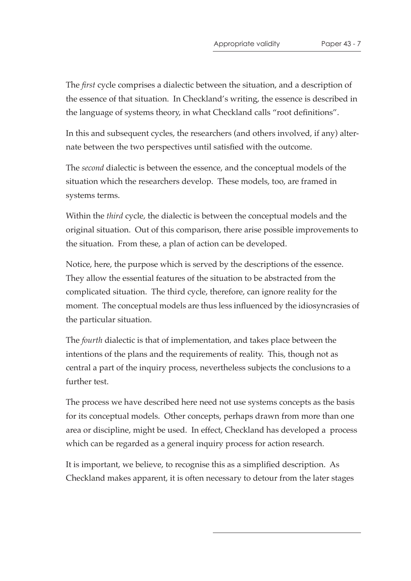The *first* cycle comprises a dialectic between the situation, and a description of the essence of that situation. In Checkland's writing, the essence is described in the language of systems theory, in what Checkland calls "root definitions".

In this and subsequent cycles, the researchers (and others involved, if any) alternate between the two perspectives until satisfied with the outcome.

The *second* dialectic is between the essence, and the conceptual models of the situation which the researchers develop. These models, too, are framed in systems terms.

Within the *third* cycle, the dialectic is between the conceptual models and the original situation. Out of this comparison, there arise possible improvements to the situation. From these, a plan of action can be developed.

Notice, here, the purpose which is served by the descriptions of the essence. They allow the essential features of the situation to be abstracted from the complicated situation. The third cycle, therefore, can ignore reality for the moment. The conceptual models are thus less influenced by the idiosyncrasies of the particular situation.

The *fourth* dialectic is that of implementation, and takes place between the intentions of the plans and the requirements of reality. This, though not as central a part of the inquiry process, nevertheless subjects the conclusions to a further test.

The process we have described here need not use systems concepts as the basis for its conceptual models. Other concepts, perhaps drawn from more than one area or discipline, might be used. In effect, Checkland has developed a process which can be regarded as a general inquiry process for action research.

It is important, we believe, to recognise this as a simplified description. As Checkland makes apparent, it is often necessary to detour from the later stages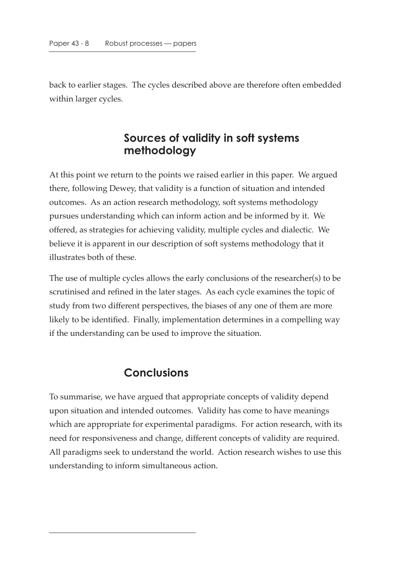back to earlier stages. The cycles described above are therefore often embedded within larger cycles.

### **Sources of validity in soft systems methodology**

At this point we return to the points we raised earlier in this paper. We argued there, following Dewey, that validity is a function of situation and intended outcomes. As an action research methodology, soft systems methodology pursues understanding which can inform action and be informed by it. We offered, as strategies for achieving validity, multiple cycles and dialectic. We believe it is apparent in our description of soft systems methodology that it illustrates both of these.

The use of multiple cycles allows the early conclusions of the researcher(s) to be scrutinised and refined in the later stages. As each cycle examines the topic of study from two different perspectives, the biases of any one of them are more likely to be identified. Finally, implementation determines in a compelling way if the understanding can be used to improve the situation.

### **Conclusions**

To summarise, we have argued that appropriate concepts of validity depend upon situation and intended outcomes. Validity has come to have meanings which are appropriate for experimental paradigms. For action research, with its need for responsiveness and change, different concepts of validity are required. All paradigms seek to understand the world. Action research wishes to use this understanding to inform simultaneous action.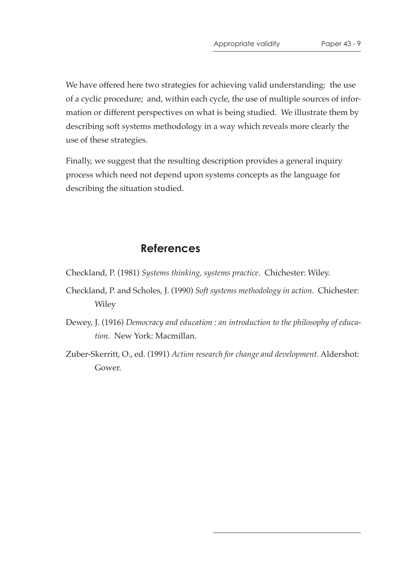We have offered here two strategies for achieving valid understanding: the use of a cyclic procedure; and, within each cycle, the use of multiple sources of information or different perspectives on what is being studied. We illustrate them by describing soft systems methodology in a way which reveals more clearly the use of these strategies.

Finally, we suggest that the resulting description provides a general inquiry process which need not depend upon systems concepts as the language for describing the situation studied.

#### **References**

Checkland, P. (1981) *Systems thinking, systems practice*. Chichester: Wiley.

- Checkland, P. and Scholes, J. (1990) *Soft systems methodology in action*. Chichester: Wiley
- Dewey, J. (1916) *Democracy and education : an introduction to the philosophy of education*. New York: Macmillan.
- Zuber-Skerritt, O., ed. (1991) *Action research for change and development*. Aldershot: Gower.